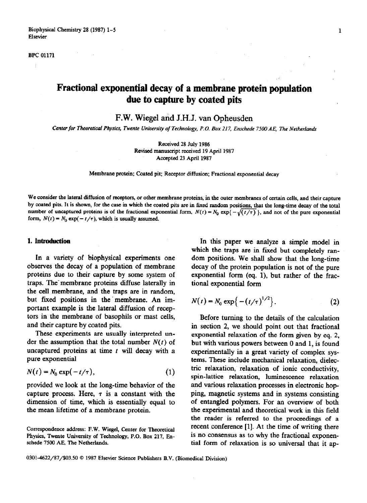#### **BPC 01171**

# **Fractional exponential decay of a membrane protein population due to capture by coated pits**

F.W. Wiegel and J.H.J. van Opheusden

Center for Theoretical Physics, Twente University of Technology, P.O. Box 217, Enschede 7500 AE, The Netherlands

**Received 28 July 1986 Revised manuscript received 19 April 1987 Accepted 23 April 1987** 

Membrane protein; Coated pit; Receptor diffusion; Fractional exponential decay

**We consider the lateral diffusion of receptors, or other membrane proteins, in the outer membranes of certain cells, and their capture**  by coated pits. It is shown, for the case in which the coated pits are in fixed random positions, that the long-time decay of the total number of uncaptured proteins is of the fractional exponential form,  $N(t) = N_0 \exp{\{-\sqrt{(t/\tau)}\}}$ , and not of the pure exponential form,  $N(t) = N_0 \exp(-t/\tau)$ , which is usually assumed.

#### **1. Introduction**

**In** a variety of biophysical experiments one observes the decay of a population of membrane proteins due to their capture by some system of traps. The membrane proteins diffuse laterally in the cell membrane, and the traps are in random, but fixed positions in the membrane. An important example is the lateral diffusion of recep tors in the membrane of basophils or mast cells, and their capture by coated pits.

These experiments are usually interpreted under the assumption that the total number  $N(t)$  of uncaptured proteins at time  $t$  will decay with a pure exponential

$$
N(t) = N_0 \exp(-t/\tau), \tag{1}
$$

provided we look at the long-time behavior of the capture process. Here,  $\tau$  is a constant with the dimension of time, which is essentially equal to the mean lifetime of a membrane protein.

In this paper we analyze a simple model in which the traps are in fixed but completely random positions. We shall show that the long-time decay of the protein population is not of the pure exponential form (eq. 1), but rather of the fractional exponential form

$$
N(t) = N_0 \exp\{- (t/\tau)^{1/2} \}.
$$
 (2)

Before turning to the details of the calculation in section 2, we should point out that fractional exponential relaxation of the form given by eq. 2, but with various powers between 0 and 1, is found experimentally in a great variety of complex systems. These include mechanical relaxation, dielectric relaxation, relaxation of ionic conductivity, spin-lattice relaxation, luminescence relaxation and various relaxation processes in electronic hopping, magnetic systems and in systems consisting of entangled polymers. For an overview of both the experimental and theoretical work in this field the reader is referred to the proceedings of a recent conference [l]. At the time of writing there is no consensus as to why the fractional exponential form of relaxation is so universal that it ap-

**Correspondence address: F.W. Wiegel, Center for Theoretical Physics, Twente University of Technology, P.O. Box 217, Enschede 7500 AE, The Netherlands.** 

**<sup>0301~4622/87/\$03.50 0 1987</sup> Ekvier Science Publishers B.V. (Biomedical Division)**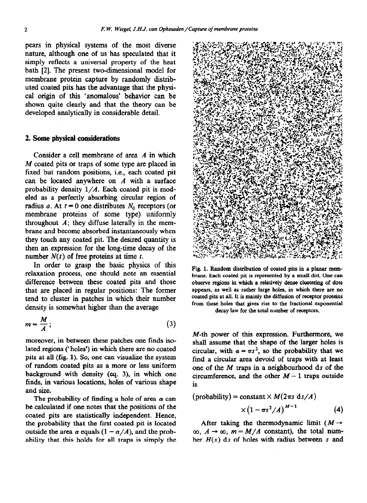pears in physical systems of the most diverse nature, although one of us has speculated that it simply reflects a universal property of the heat bath [2]. The present two-dimensional model for membrane protein capture by randomly distributed coated pits has the advantage that the physical origin of this 'anomalous' behavior can be shown quite clearly and that the theory can be developed analytically in considerable detail.

#### 2. Some physical **considerations**

Consider a cell membrane of area A in which M coated pits or traps of some type are placed in fixed but random positions, i.e., each coated pit can be located anywhere on *A* with a surface probability density *l/A.* Each coated pit is modeled as a perfectly absorbing circular region of radius a. At  $t = 0$  one distributes  $N_0$  receptors (or membrane proteins of some type) uniformly throughout  $A$ ; they diffuse laterally in the membrane and become absorbed instantaneously when they touch any coated pit. The desired quantity is then an expression for the long-time decay of the number  $N(t)$  of free proteins at time t.

In order to grasp the basic physics of this relaxation process, one should note an essential difference between these coated pits and those that are placed in regular positions: The former tend to cluster in patches in which their number density is somewhat higher than the average

$$
m = \frac{M}{A};
$$
 (3)

moreover, in between these patches one finds isolated regions ('holes') in which there are no coated pits at all (fig. 1). So, one can visualize the system of random coated pits as a more or less uniform background with density (eq. 3), in which one finds, in various locations, holes of various shape and size.

The probability of finding a hole of area  $\alpha$  can be calculated if one notes that the positions of the coated pits are statistically independent. Hence, the probability that the first coated pit is located outside the area  $\alpha$  equals  $(1 - \alpha/A)$ , and the probability that this holds for all traps is simply the



Fig. 1. Random distribution of coated pits in a planar mcmbrane. Each coated pit is represented by a small dot. One can observe regions in which a relatively dense clustering of dots appears, as well as rather large holes, in which there are no coated pits at all. It is mainly the diffusion of receptor proteins from these holes that gives rise to the fractional exponential decay law for the total number of receptors.

M-th power of this expression. Furthermore, we shall assume that the shape of the larger holes is circular, with  $\alpha = \pi s^2$ , so the probability that we find a circular area devoid of traps with at least one of the  $M$  traps in a neighbourhood ds of the circumference, and the other  $M-1$  traps outside is

$$
(\text{probability}) = \text{constant} \times M(2\pi s \text{ d} s/A)
$$

$$
\times (1 - \pi s^2/A)^{M-1} \tag{4}
$$

After taking the thermodynamic limit  $(M \rightarrow$  $\infty$ ,  $A \rightarrow \infty$ ,  $m = M/A$  constant), the total number  $H(s)$  ds of holes with radius between s and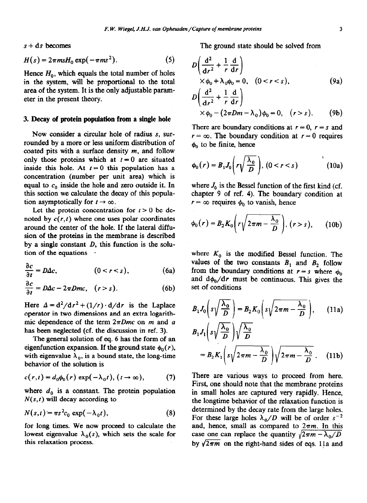$s + ds$  becomes

$$
H(s) = 2\pi m s H_0 \exp(-\pi m s^2). \tag{5}
$$

Hence  $H_0$ , which equals the total number of holes in the system, will be proportional to, the total area of the system. It is the only adjustable parameter in the present theory.

## 3. **Decay of protein population from a single hole**

Now consider a circular hole of radius s, surrounded by a more or less uniform distribution of coated pits with a surface density  $m$ , and follow only those proteins which at  $t = 0$  are situated inside this hole. At  $t = 0$  this population has a concentration (number per unit area) which is equal to  $c_0$  inside the hole and zero outside it. In this section we calculate the decay of this population asymptotically for  $t \to \infty$ .

Let the protein concentration for  $t > 0$  be denoted by  $c(r, t)$  where one uses polar coordinates around the center of the hole. If the lateral diffusion of the proteins in the membrane is described by a single constant *D, this* function is the solution of the equations

$$
\frac{\partial c}{\partial t} = D\Delta c, \qquad (0 < r < s), \qquad (6a)
$$

 $\frac{\partial c}{\partial t} = D\Delta c - 2\pi Dmc$ ,  $(r > s)$ . (6b)

Here  $\Delta = d^2/dr^2 + (1/r) \cdot d/dr$  is the Laplace operator in two dimensions and an extra logarithmic dependence of the term  $2\pi Dmc$  on *m* and *a* has been neglected (cf. the discussion in ref. 3).

The general solution of eq. 6 has the form of an eigenfunction expansion. If the ground state  $\phi_0(r)$ , with eigenvalue  $\lambda_0$ , is a bound state, the long-time behavior of the solution is

$$
c(r,t) = d_0 \phi_0(r) \exp(-\lambda_0 t), (t \to \infty), \tag{7}
$$

where  $d_0$  is a constant. The protein population  $N(s, t)$  will decay according to

$$
N(s,t) = \pi s^2 c_0 \exp(-\lambda_0 t), \qquad (8)
$$

for long times. We now proceed to calculate the lowest eigenvalue  $\lambda_0(s)$ , which sets the scale for this relaxation process,

The ground state should be solved from

$$
D\left(\frac{d^2}{dr^2} + \frac{1}{r}\frac{d}{dr}\right)
$$
  
  $\times \phi_0 + \lambda_0 \phi_0 = 0, \quad (0 < r < s),$   
(3a)  
(3a)

$$
D\left(\frac{\mathrm{d}^2}{\mathrm{d}r^2} + \frac{1}{r}\frac{\mathrm{d}}{\mathrm{d}r}\right)
$$
  
 
$$
\times \phi_0 - (2\pi Dm - \lambda_0)\phi_0 = 0, \quad (r > s). \tag{9b}
$$

There are boundary conditions at  $r = 0$ ,  $r = s$  and  $r = \infty$ . The boundary condition at  $r = 0$  requires  $\phi_0$  to be finite, hence

$$
\phi_0(r) = B_1 J_0 \left( r \sqrt{\frac{\lambda_0}{D}} \right), (0 < r < s)
$$
 (10a)

where  $J_0$  is the Bessel function of the first kind (cf. chapter 9 of ref. 4). The boundary condition at  $r = \infty$  requires  $\phi_0$  to vanish, hence

$$
\phi_0(r) = B_2 K_0 \left( r \sqrt{2 \pi m - \frac{\lambda_0}{D}} \right), (r > s), \qquad (10b)
$$

where  $K_0$  is the modified Bessel function. The values of the two constants  $B_1$  and  $B_2$  follow from the boundary conditions at  $r = s$  where  $\phi_0$ and  $d\phi_0/dr$  must be continuous. This gives the set of conditions

$$
B_1 J_0 \left( s \sqrt{\frac{\lambda_0}{D}} \right) = B_2 K_0 \left( s \sqrt{2 \pi m - \frac{\lambda_0}{D}} \right), \qquad (11a)
$$
  

$$
B_1 J_1 \left( s \sqrt{\frac{\lambda_0}{D}} \right) \sqrt{\frac{\lambda_0}{D}}
$$
  

$$
= B_2 K_1 \left( s \sqrt{2 \pi m - \frac{\lambda_0}{D}} \right) \sqrt{2 \pi m - \frac{\lambda_0}{D}}. \qquad (11b)
$$

There are various **ways** to proceed from here. First, one should note that the membrane proteins in small holes are captured very rapidly. Hence, the longtime behavior of the relaxation function is determined by the decay rate from the large holes. For these large holes  $\lambda_0/D$  will be of order  $s^{-2}$ and, hence, small as compared to  $2\pi m$ . In this case one can replace the quantity  $\sqrt{2\pi m - \lambda_0/D}$ by  $\sqrt{2\pi m}$  on the right-hand sides of eqs. 11a and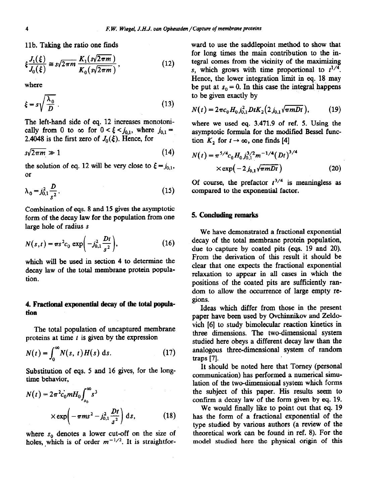llb. Taking the ratio one finds

$$
\xi \frac{J_1(\xi)}{J_0(\xi)} \approx s\sqrt{2\pi m} \frac{K_1(s\sqrt{2\pi m})}{K_0(s\sqrt{2\pi m})},
$$
\n(12)

where

$$
\xi = s \sqrt{\frac{\lambda_0}{D}} \ . \tag{13}
$$

The left-hand side of eq. 12 increases monotonically from 0 to  $\infty$  for  $0 < \xi < j_{0,1}$ , where  $j_{0,1} =$ 2.4048 is the first zero of  $J_0(\xi)$ . Hence, for

$$
s\sqrt{2\pi m} \gg 1\tag{14}
$$

the solution of eq. 12 will be very close to  $\xi = j_{0,1}$ , or

$$
\lambda_0 = j_{0,1}^2 \frac{D}{s^2} \,. \tag{15}
$$

Combination of eqs. 8 and 15 gives the asymptotic form of the decay law for the population from one large hole of radius s

$$
N(s,t) = \pi s^2 c_0 \exp\left(-j_{0,1}^2 \frac{Dt}{s^2}\right),
$$
 (16)

which will be used in section 4 to determine the decay law of the total membrane protein population.

## 4. **Fractional exponential decay** of the total popula**tion**

The total population of uncaptured membrane proteins at time  $t$  is given by the expression

$$
N(t) = \int_0^\infty N(s, t) H(s) \, \mathrm{d}s. \tag{17}
$$

Substitution of eqs. 5 and 16 gives, for the longtime behavior,

$$
N(t) = 2\pi^{2} c_{0} m H_{0} \int_{s_{0}}^{\infty} s^{3}
$$
  
 
$$
\times \exp\left(-\pi m s^{2} - j_{0,1}^{2} \frac{Dt}{s^{2}}\right) ds, \qquad (18)
$$

where  $s_0$  denotes a lower cut-off on the size of holes, which is of order  $m^{-1/2}$ . It is straightforward to use the saddlepoint method to show that for long times the main contribution to the integral comes from the vicinity of the maximizing s, which grows with time proportional to  $t^{1/4}$ . Hence, the lower integration limit in eq. 18 may be put at  $s_0 = 0$ . In this case the integral happens to be given exactly by

$$
N(t) = 2\pi c_0 H_0 j_{0,1}^2 D t K_2 (2j_{0,1}\sqrt{\pi mDt}), \qquad (19)
$$

where we used eq. 3.471.9 of ref. 5. Using the asymptotic formula for the modified Bessel function  $K_2$ , for  $t \rightarrow \infty$ , one finds [4]

$$
N(t) = \pi^{5/4} c_0 H_0 j_{0,1}^{3/2} m^{-1/4} (Dt)^{3/4}
$$
  
× exp $\left(-2 j_{0,1} \sqrt{\pi mDt}\right)$  (20)

Of course, the prefactor  $t^{3/4}$  is meaningless as compared to the exponential factor.

## 5. **Conchding remarks**

We have demonstrated a fractional exponential decay of the total membrane protein population, due to capture by coated pits (eqs. 19 and 20). From the derivation of this result it should be clear that one expects the fractional exponential relaxation to appear in all cases in which the positions of the coated pits are sufficiently random to allow the occurrence of large empty regions.

Ideas which differ from those in the present paper have been used by Ovchinnikov and Zeldovich [6] to study bimolecular reaction kinetics in three dimensions. The two-dimensional system studied here obeys a different decay law than the analogous three-dimensional system of random traps [7].

It should be noted here that Torney (personal communication) has performed a numerical simulation of the two-dimensional system which forms the subject of this paper. His results seem to confirm a decay law of the form given **by eq.** 19.

We would finally like to point out that eq. 19 has the form of a fractional exponential of the type studied by various authors (a review of the theoretical work can be found in ref. 8). For the model studied here the physical origin of *this*